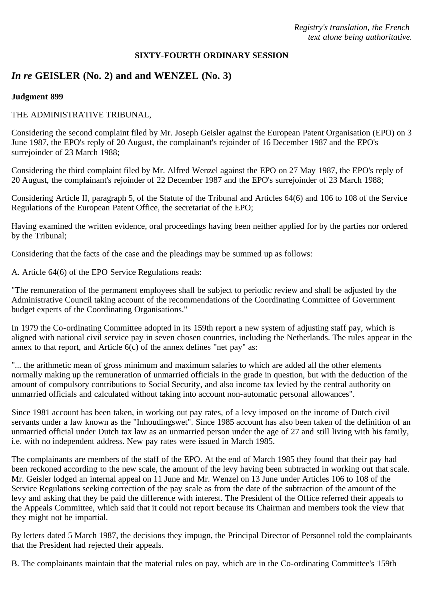#### **SIXTY-FOURTH ORDINARY SESSION**

# *In re* **GEISLER (No. 2) and and WENZEL (No. 3)**

#### **Judgment 899**

#### THE ADMINISTRATIVE TRIBUNAL,

Considering the second complaint filed by Mr. Joseph Geisler against the European Patent Organisation (EPO) on 3 June 1987, the EPO's reply of 20 August, the complainant's rejoinder of 16 December 1987 and the EPO's surrejoinder of 23 March 1988;

Considering the third complaint filed by Mr. Alfred Wenzel against the EPO on 27 May 1987, the EPO's reply of 20 August, the complainant's rejoinder of 22 December 1987 and the EPO's surrejoinder of 23 March 1988;

Considering Article II, paragraph 5, of the Statute of the Tribunal and Articles 64(6) and 106 to 108 of the Service Regulations of the European Patent Office, the secretariat of the EPO;

Having examined the written evidence, oral proceedings having been neither applied for by the parties nor ordered by the Tribunal;

Considering that the facts of the case and the pleadings may be summed up as follows:

A. Article 64(6) of the EPO Service Regulations reads:

"The remuneration of the permanent employees shall be subject to periodic review and shall be adjusted by the Administrative Council taking account of the recommendations of the Coordinating Committee of Government budget experts of the Coordinating Organisations."

In 1979 the Co-ordinating Committee adopted in its 159th report a new system of adjusting staff pay, which is aligned with national civil service pay in seven chosen countries, including the Netherlands. The rules appear in the annex to that report, and Article 6(c) of the annex defines "net pay" as:

"... the arithmetic mean of gross minimum and maximum salaries to which are added all the other elements normally making up the remuneration of unmarried officials in the grade in question, but with the deduction of the amount of compulsory contributions to Social Security, and also income tax levied by the central authority on unmarried officials and calculated without taking into account non-automatic personal allowances".

Since 1981 account has been taken, in working out pay rates, of a levy imposed on the income of Dutch civil servants under a law known as the "Inhoudingswet". Since 1985 account has also been taken of the definition of an unmarried official under Dutch tax law as an unmarried person under the age of 27 and still living with his family, i.e. with no independent address. New pay rates were issued in March 1985.

The complainants are members of the staff of the EPO. At the end of March 1985 they found that their pay had been reckoned according to the new scale, the amount of the levy having been subtracted in working out that scale. Mr. Geisler lodged an internal appeal on 11 June and Mr. Wenzel on 13 June under Articles 106 to 108 of the Service Regulations seeking correction of the pay scale as from the date of the subtraction of the amount of the levy and asking that they be paid the difference with interest. The President of the Office referred their appeals to the Appeals Committee, which said that it could not report because its Chairman and members took the view that they might not be impartial.

By letters dated 5 March 1987, the decisions they impugn, the Principal Director of Personnel told the complainants that the President had rejected their appeals.

B. The complainants maintain that the material rules on pay, which are in the Co-ordinating Committee's 159th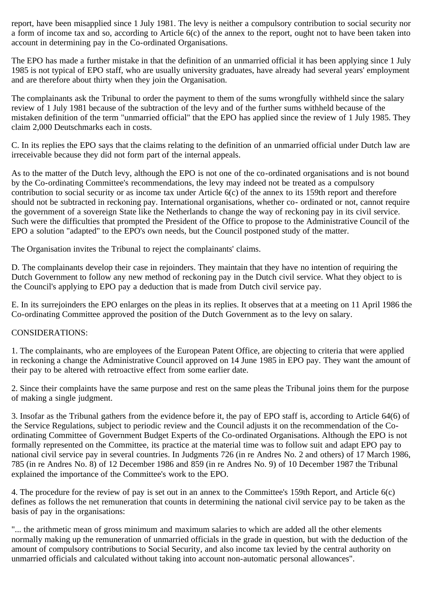report, have been misapplied since 1 July 1981. The levy is neither a compulsory contribution to social security nor a form of income tax and so, according to Article 6(c) of the annex to the report, ought not to have been taken into account in determining pay in the Co-ordinated Organisations.

The EPO has made a further mistake in that the definition of an unmarried official it has been applying since 1 July 1985 is not typical of EPO staff, who are usually university graduates, have already had several years' employment and are therefore about thirty when they join the Organisation.

The complainants ask the Tribunal to order the payment to them of the sums wrongfully withheld since the salary review of 1 July 1981 because of the subtraction of the levy and of the further sums withheld because of the mistaken definition of the term "unmarried official" that the EPO has applied since the review of 1 July 1985. They claim 2,000 Deutschmarks each in costs.

C. In its replies the EPO says that the claims relating to the definition of an unmarried official under Dutch law are irreceivable because they did not form part of the internal appeals.

As to the matter of the Dutch levy, although the EPO is not one of the co-ordinated organisations and is not bound by the Co-ordinating Committee's recommendations, the levy may indeed not be treated as a compulsory contribution to social security or as income tax under Article 6(c) of the annex to its 159th report and therefore should not be subtracted in reckoning pay. International organisations, whether co- ordinated or not, cannot require the government of a sovereign State like the Netherlands to change the way of reckoning pay in its civil service. Such were the difficulties that prompted the President of the Office to propose to the Administrative Council of the EPO a solution "adapted" to the EPO's own needs, but the Council postponed study of the matter.

The Organisation invites the Tribunal to reject the complainants' claims.

D. The complainants develop their case in rejoinders. They maintain that they have no intention of requiring the Dutch Government to follow any new method of reckoning pay in the Dutch civil service. What they object to is the Council's applying to EPO pay a deduction that is made from Dutch civil service pay.

E. In its surrejoinders the EPO enlarges on the pleas in its replies. It observes that at a meeting on 11 April 1986 the Co-ordinating Committee approved the position of the Dutch Government as to the levy on salary.

## CONSIDERATIONS:

1. The complainants, who are employees of the European Patent Office, are objecting to criteria that were applied in reckoning a change the Administrative Council approved on 14 June 1985 in EPO pay. They want the amount of their pay to be altered with retroactive effect from some earlier date.

2. Since their complaints have the same purpose and rest on the same pleas the Tribunal joins them for the purpose of making a single judgment.

3. Insofar as the Tribunal gathers from the evidence before it, the pay of EPO staff is, according to Article 64(6) of the Service Regulations, subject to periodic review and the Council adjusts it on the recommendation of the Coordinating Committee of Government Budget Experts of the Co-ordinated Organisations. Although the EPO is not formally represented on the Committee, its practice at the material time was to follow suit and adapt EPO pay to national civil service pay in several countries. In Judgments 726 (in re Andres No. 2 and others) of 17 March 1986, 785 (in re Andres No. 8) of 12 December 1986 and 859 (in re Andres No. 9) of 10 December 1987 the Tribunal explained the importance of the Committee's work to the EPO.

4. The procedure for the review of pay is set out in an annex to the Committee's 159th Report, and Article 6(c) defines as follows the net remuneration that counts in determining the national civil service pay to be taken as the basis of pay in the organisations:

"... the arithmetic mean of gross minimum and maximum salaries to which are added all the other elements normally making up the remuneration of unmarried officials in the grade in question, but with the deduction of the amount of compulsory contributions to Social Security, and also income tax levied by the central authority on unmarried officials and calculated without taking into account non-automatic personal allowances".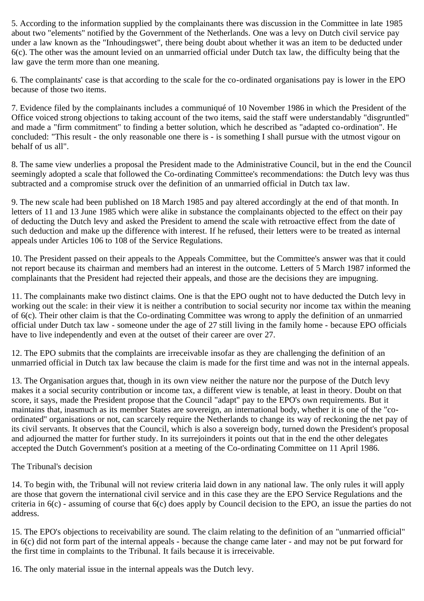5. According to the information supplied by the complainants there was discussion in the Committee in late 1985 about two "elements" notified by the Government of the Netherlands. One was a levy on Dutch civil service pay under a law known as the "Inhoudingswet", there being doubt about whether it was an item to be deducted under 6(c). The other was the amount levied on an unmarried official under Dutch tax law, the difficulty being that the law gave the term more than one meaning.

6. The complainants' case is that according to the scale for the co-ordinated organisations pay is lower in the EPO because of those two items.

7. Evidence filed by the complainants includes a communiqué of 10 November 1986 in which the President of the Office voiced strong objections to taking account of the two items, said the staff were understandably "disgruntled" and made a "firm commitment" to finding a better solution, which he described as "adapted co-ordination". He concluded: "This result - the only reasonable one there is - is something I shall pursue with the utmost vigour on behalf of us all".

8. The same view underlies a proposal the President made to the Administrative Council, but in the end the Council seemingly adopted a scale that followed the Co-ordinating Committee's recommendations: the Dutch levy was thus subtracted and a compromise struck over the definition of an unmarried official in Dutch tax law.

9. The new scale had been published on 18 March 1985 and pay altered accordingly at the end of that month. In letters of 11 and 13 June 1985 which were alike in substance the complainants objected to the effect on their pay of deducting the Dutch levy and asked the President to amend the scale with retroactive effect from the date of such deduction and make up the difference with interest. If he refused, their letters were to be treated as internal appeals under Articles 106 to 108 of the Service Regulations.

10. The President passed on their appeals to the Appeals Committee, but the Committee's answer was that it could not report because its chairman and members had an interest in the outcome. Letters of 5 March 1987 informed the complainants that the President had rejected their appeals, and those are the decisions they are impugning.

11. The complainants make two distinct claims. One is that the EPO ought not to have deducted the Dutch levy in working out the scale: in their view it is neither a contribution to social security nor income tax within the meaning of 6(c). Their other claim is that the Co-ordinating Committee was wrong to apply the definition of an unmarried official under Dutch tax law - someone under the age of 27 still living in the family home - because EPO officials have to live independently and even at the outset of their career are over 27.

12. The EPO submits that the complaints are irreceivable insofar as they are challenging the definition of an unmarried official in Dutch tax law because the claim is made for the first time and was not in the internal appeals.

13. The Organisation argues that, though in its own view neither the nature nor the purpose of the Dutch levy makes it a social security contribution or income tax, a different view is tenable, at least in theory. Doubt on that score, it says, made the President propose that the Council "adapt" pay to the EPO's own requirements. But it maintains that, inasmuch as its member States are sovereign, an international body, whether it is one of the "coordinated" organisations or not, can scarcely require the Netherlands to change its way of reckoning the net pay of its civil servants. It observes that the Council, which is also a sovereign body, turned down the President's proposal and adjourned the matter for further study. In its surrejoinders it points out that in the end the other delegates accepted the Dutch Government's position at a meeting of the Co-ordinating Committee on 11 April 1986.

## The Tribunal's decision

14. To begin with, the Tribunal will not review criteria laid down in any national law. The only rules it will apply are those that govern the international civil service and in this case they are the EPO Service Regulations and the criteria in 6(c) - assuming of course that 6(c) does apply by Council decision to the EPO, an issue the parties do not address.

15. The EPO's objections to receivability are sound. The claim relating to the definition of an "unmarried official" in 6(c) did not form part of the internal appeals - because the change came later - and may not be put forward for the first time in complaints to the Tribunal. It fails because it is irreceivable.

16. The only material issue in the internal appeals was the Dutch levy.